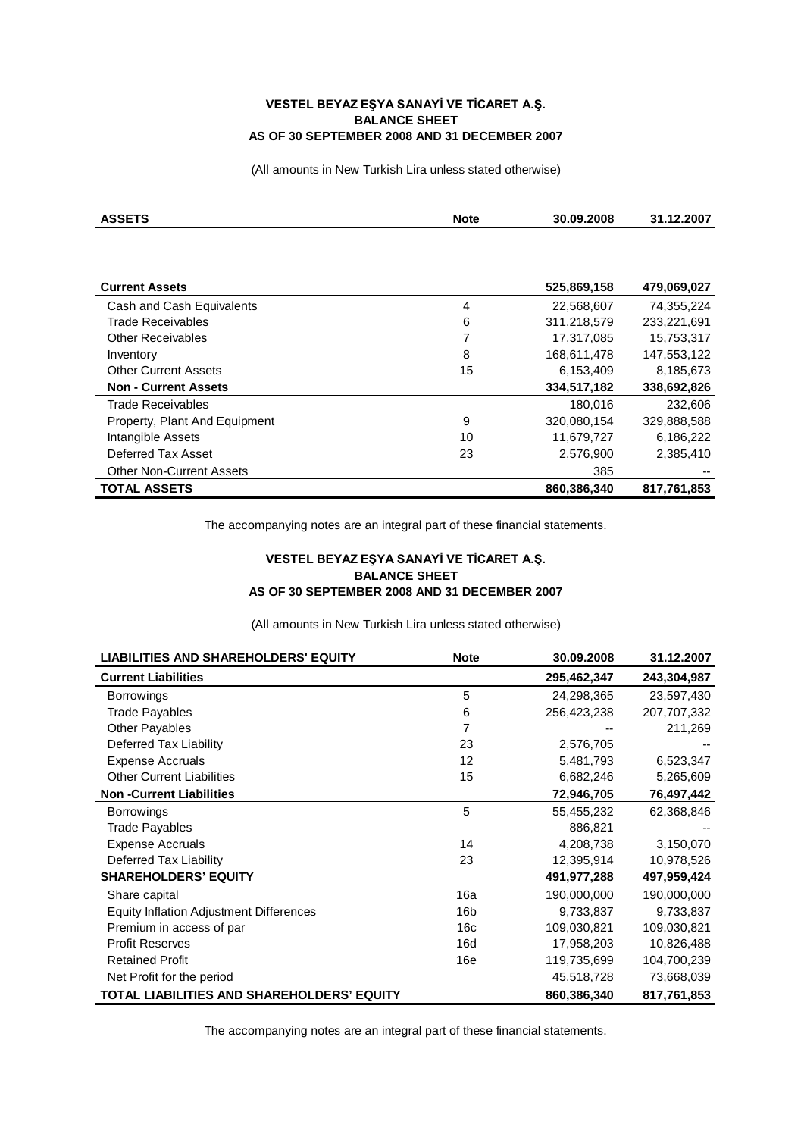## **VESTEL BEYAZ EŞYA SANAYİ VE TİCARET A.Ş. BALANCE SHEET AS OF 30 SEPTEMBER 2008 AND 31 DECEMBER 2007**

(All amounts in New Turkish Lira unless stated otherwise)

| <b>ASSETS</b>                   | <b>Note</b> | 30.09.2008  | 31.12.2007  |
|---------------------------------|-------------|-------------|-------------|
|                                 |             |             |             |
|                                 |             |             |             |
| <b>Current Assets</b>           |             | 525,869,158 | 479,069,027 |
| Cash and Cash Equivalents       | 4           | 22,568,607  | 74,355,224  |
| Trade Receivables               | 6           | 311,218,579 | 233,221,691 |
| <b>Other Receivables</b>        | 7           | 17,317,085  | 15,753,317  |
| Inventory                       | 8           | 168,611,478 | 147,553,122 |
| <b>Other Current Assets</b>     | 15          | 6,153,409   | 8,185,673   |
| <b>Non - Current Assets</b>     |             | 334,517,182 | 338,692,826 |
| Trade Receivables               |             | 180,016     | 232,606     |
| Property, Plant And Equipment   | 9           | 320,080,154 | 329,888,588 |
| Intangible Assets               | 10          | 11,679,727  | 6,186,222   |
| Deferred Tax Asset              | 23          | 2,576,900   | 2,385,410   |
| <b>Other Non-Current Assets</b> |             | 385         |             |
| <b>TOTAL ASSETS</b>             |             | 860,386,340 | 817.761.853 |

The accompanying notes are an integral part of these financial statements.

## **VESTEL BEYAZ EŞYA SANAYİ VE TİCARET A.Ş. BALANCE SHEET AS OF 30 SEPTEMBER 2008 AND 31 DECEMBER 2007**

(All amounts in New Turkish Lira unless stated otherwise)

| <b>LIABILITIES AND SHAREHOLDERS' EQUITY</b>    | <b>Note</b>       | 30.09.2008  | 31.12.2007  |
|------------------------------------------------|-------------------|-------------|-------------|
| <b>Current Liabilities</b>                     |                   | 295,462,347 | 243,304,987 |
| <b>Borrowings</b>                              | 5                 | 24,298,365  | 23,597,430  |
| <b>Trade Payables</b>                          | 6                 | 256,423,238 | 207,707,332 |
| <b>Other Payables</b>                          | 7                 |             | 211,269     |
| Deferred Tax Liability                         | 23                | 2,576,705   |             |
| <b>Expense Accruals</b>                        | $12 \overline{ }$ | 5,481,793   | 6,523,347   |
| <b>Other Current Liabilities</b>               | 15                | 6,682,246   | 5,265,609   |
| <b>Non-Current Liabilities</b>                 |                   | 72,946,705  | 76,497,442  |
| <b>Borrowings</b>                              | 5                 | 55,455,232  | 62,368,846  |
| <b>Trade Payables</b>                          |                   | 886,821     |             |
| <b>Expense Accruals</b>                        | 14                | 4,208,738   | 3,150,070   |
| Deferred Tax Liability                         | 23                | 12,395,914  | 10,978,526  |
| <b>SHAREHOLDERS' EQUITY</b>                    |                   | 491,977,288 | 497,959,424 |
| Share capital                                  | 16a               | 190,000,000 | 190,000,000 |
| <b>Equity Inflation Adjustment Differences</b> | 16b               | 9,733,837   | 9,733,837   |
| Premium in access of par                       | 16c               | 109,030,821 | 109,030,821 |
| <b>Profit Reserves</b>                         | 16d               | 17,958,203  | 10,826,488  |
| <b>Retained Profit</b>                         | 16e               | 119,735,699 | 104,700,239 |
| Net Profit for the period                      |                   | 45,518,728  | 73,668,039  |
| TOTAL LIABILITIES AND SHAREHOLDERS' EQUITY     |                   | 860,386,340 | 817,761,853 |

The accompanying notes are an integral part of these financial statements.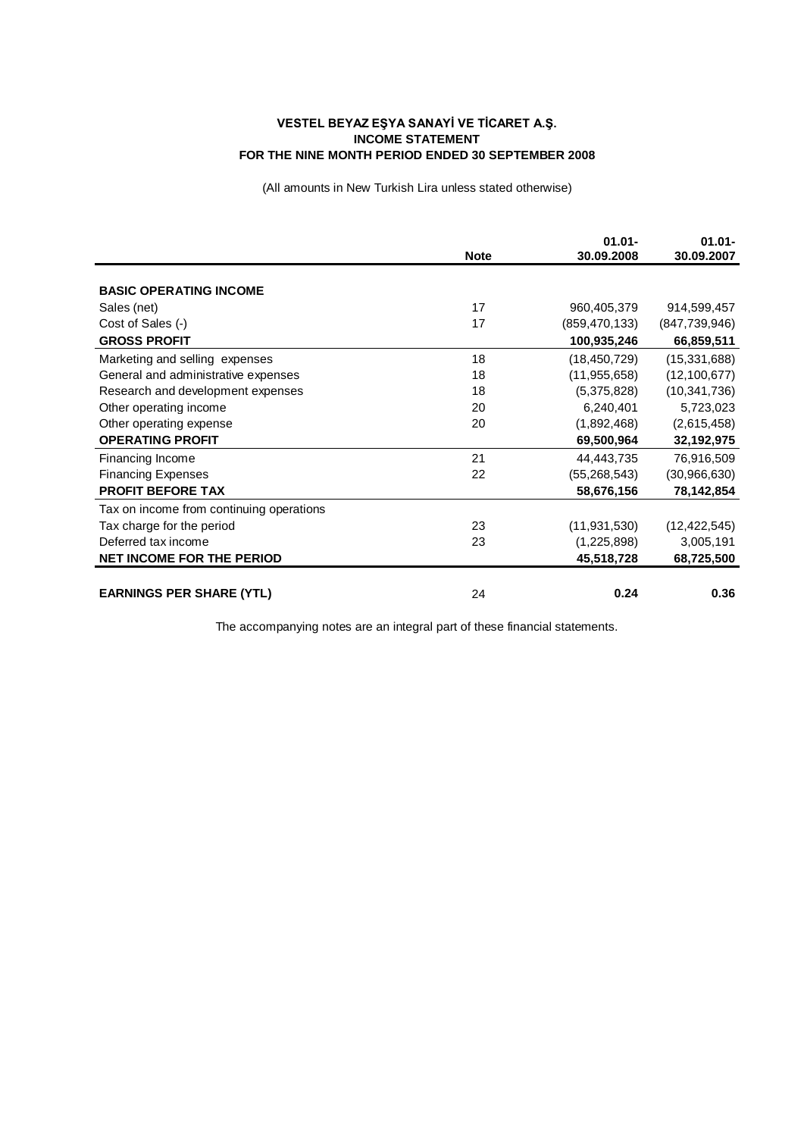## **VESTEL BEYAZ EŞYA SANAYİ VE TİCARET A.Ş. INCOME STATEMENT FOR THE NINE MONTH PERIOD ENDED 30 SEPTEMBER 2008**

(All amounts in New Turkish Lira unless stated otherwise)

|                                          |             | $01.01 -$       | $01.01 -$      |
|------------------------------------------|-------------|-----------------|----------------|
|                                          | <b>Note</b> | 30.09.2008      | 30.09.2007     |
| <b>BASIC OPERATING INCOME</b>            |             |                 |                |
| Sales (net)                              | 17          | 960,405,379     | 914,599,457    |
| Cost of Sales (-)                        | 17          | (859, 470, 133) | (847,739,946)  |
| <b>GROSS PROFIT</b>                      |             | 100,935,246     | 66,859,511     |
| Marketing and selling expenses           | 18          | (18, 450, 729)  | (15, 331, 688) |
| General and administrative expenses      | 18          | (11, 955, 658)  | (12, 100, 677) |
| Research and development expenses        | 18          | (5,375,828)     | (10, 341, 736) |
| Other operating income                   | 20          | 6,240,401       | 5,723,023      |
| Other operating expense                  | 20          | (1,892,468)     | (2,615,458)    |
| <b>OPERATING PROFIT</b>                  |             | 69,500,964      | 32,192,975     |
| Financing Income                         | 21          | 44,443,735      | 76,916,509     |
| <b>Financing Expenses</b>                | 22          | (55, 268, 543)  | (30, 966, 630) |
| <b>PROFIT BEFORE TAX</b>                 |             | 58,676,156      | 78,142,854     |
| Tax on income from continuing operations |             |                 |                |
| Tax charge for the period                | 23          | (11, 931, 530)  | (12, 422, 545) |
| Deferred tax income                      | 23          | (1,225,898)     | 3,005,191      |
| <b>NET INCOME FOR THE PERIOD</b>         |             | 45,518,728      | 68,725,500     |
|                                          |             |                 |                |
| <b>EARNINGS PER SHARE (YTL)</b>          | 24          | 0.24            | 0.36           |

The accompanying notes are an integral part of these financial statements.